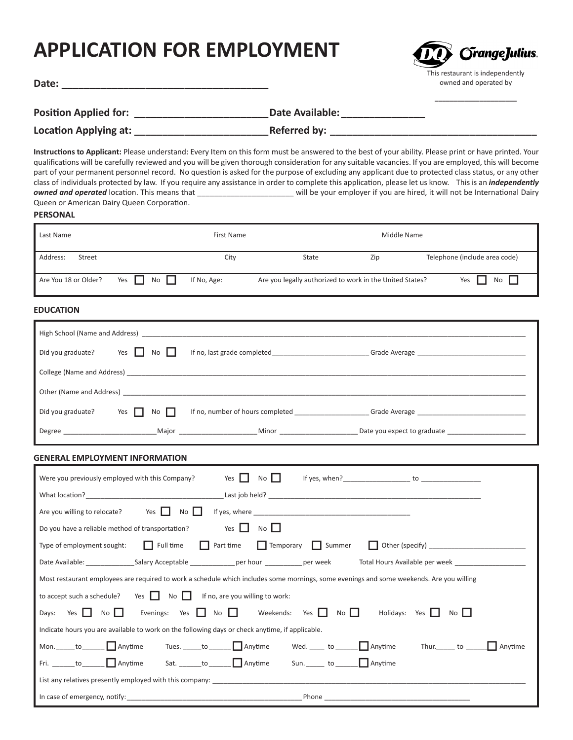# **APPLICATION FOR EMPLOYMENT**



**\_\_\_\_\_\_\_\_\_\_\_\_\_\_\_\_\_\_\_\_\_\_**

**Date: \_\_\_\_\_\_\_\_\_\_\_\_\_\_\_\_\_\_\_\_\_\_\_\_\_\_\_\_\_\_\_\_\_\_\_\_\_**

**Position Applied for: \_\_\_\_\_\_\_\_\_\_\_\_\_\_\_\_\_\_\_\_\_\_\_\_Date Available: \_\_\_\_\_\_\_\_\_\_\_\_\_\_\_**

**Location Applying at: Location Applying at: Deferred by: Referred by: Deferred in the set of the set of the set of the set of the set of the set of the set of the set of the set of the set of the set of the set of** 

**Instructions to Applicant:** Please understand: Every Item on this form must be answered to the best of your ability. Please print or have printed. Your qualifications will be carefully reviewed and you will be given thorough consideration for any suitable vacancies. If you are employed, this will become part of your permanent personnel record. No question is asked for the purpose of excluding any applicant due to protected class status, or any other class of individuals protected by law. If you require any assistance in order to complete this application, please let us know. This is an *independently owned and operated* location. This means that \_\_\_\_\_\_\_\_\_\_\_\_\_\_\_\_\_\_\_\_\_\_\_ will be your employer if you are hired, it will not be International Dairy Queen or American Dairy Queen Corporation.

### **PERSONAL**

| Last Name            |                  | First Name  |                                                          |     | Middle Name                   |
|----------------------|------------------|-------------|----------------------------------------------------------|-----|-------------------------------|
| Address:<br>Street   |                  | City        | State                                                    | Zip | Telephone (include area code) |
| Are You 18 or Older? | Yes<br><b>No</b> | If No, Age: | Are you legally authorized to work in the United States? |     | No II<br>Yes                  |

## **EDUCATION**

| High School (Name and Address) Name of the School (Name and Address) |                                                  |                             |  |  |  |
|----------------------------------------------------------------------|--------------------------------------------------|-----------------------------|--|--|--|
| Yes $\vert \vert$<br>Did you graduate?<br>No II                      | If no, last grade completed                      |                             |  |  |  |
|                                                                      |                                                  |                             |  |  |  |
|                                                                      |                                                  |                             |  |  |  |
| Did you graduate?<br>Yes $\Gamma$<br>$No$ $\Box$                     | If no, number of hours completed _______________ |                             |  |  |  |
| Major<br>Degree                                                      | <b>Minor</b> Minor                               | Date you expect to graduate |  |  |  |

## **GENERAL EMPLOYMENT INFORMATION**

| Yes I I No I I<br>If yes, when? $\qquad \qquad$ to $\qquad \qquad$<br>Were you previously employed with this Company?                    |  |  |  |  |  |
|------------------------------------------------------------------------------------------------------------------------------------------|--|--|--|--|--|
|                                                                                                                                          |  |  |  |  |  |
| Are you willing to relocate? Yes $\Box$ No $\Box$                                                                                        |  |  |  |  |  |
| Yes $\Box$ No $\Box$<br>Do you have a reliable method of transportation?                                                                 |  |  |  |  |  |
| Type of employment sought: $\Box$ Full time $\Box$ Part time $\Box$ Temporary $\Box$ Summer                                              |  |  |  |  |  |
|                                                                                                                                          |  |  |  |  |  |
| Most restaurant employees are required to work a schedule which includes some mornings, some evenings and some weekends. Are you willing |  |  |  |  |  |
| to accept such a schedule? Yes     No   I If no, are you willing to work:                                                                |  |  |  |  |  |
| Evenings: Yes     No     Weekends: Yes   No     Holidays: Yes   No  <br>Days: Yes $\Box$ No                                              |  |  |  |  |  |
| Indicate hours you are available to work on the following days or check anytime, if applicable.                                          |  |  |  |  |  |
| Mon. to $\Box$ Anytime Tues. $\Box$ to $\Box$ Anytime Wed. $\Box$ to $\Box$ Anytime<br>Thur. to <b>I</b> Anytime                         |  |  |  |  |  |
|                                                                                                                                          |  |  |  |  |  |
|                                                                                                                                          |  |  |  |  |  |
| In case of emergency, notify: the case of emergency, notify:                                                                             |  |  |  |  |  |